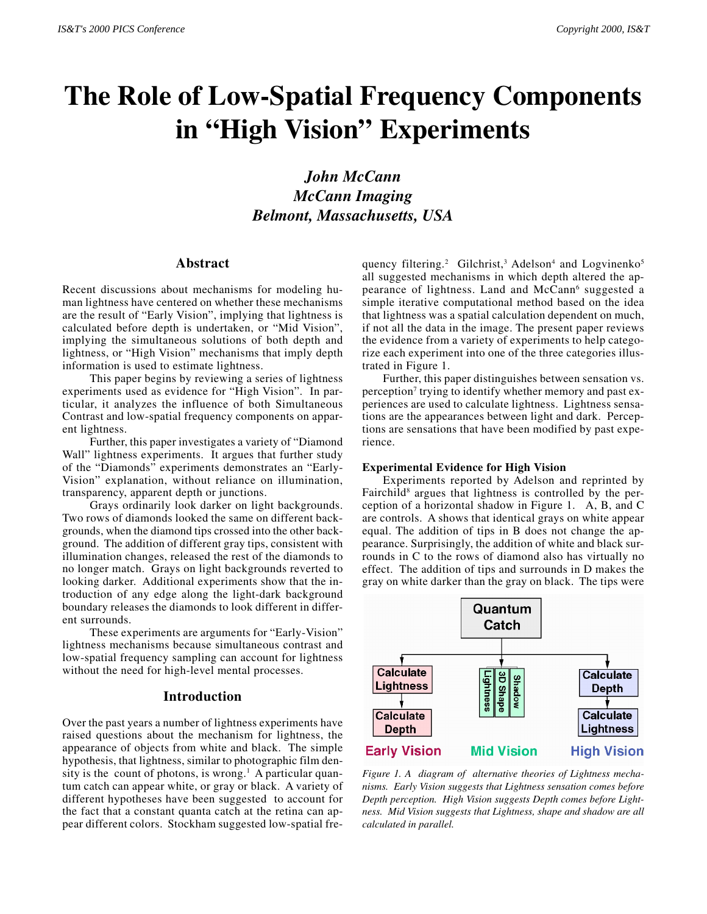# **The Role of Low-Spatial Frequency Components in "High Vision" Experiments**

# *John McCann McCann Imaging Belmont, Massachusetts, USA*

## **Abstract**

Recent discussions about mechanisms for modeling human lightness have centered on whether these mechanisms are the result of "Early Vision", implying that lightness is calculated before depth is undertaken, or "Mid Vision", implying the simultaneous solutions of both depth and lightness, or "High Vision" mechanisms that imply depth information is used to estimate lightness.

This paper begins by reviewing a series of lightness experiments used as evidence for "High Vision". In particular, it analyzes the influence of both Simultaneous Contrast and low-spatial frequency components on apparent lightness.

Further, this paper investigates a variety of "Diamond Wall" lightness experiments. It argues that further study of the "Diamonds" experiments demonstrates an "Early-Vision" explanation, without reliance on illumination, transparency, apparent depth or junctions.

Grays ordinarily look darker on light backgrounds. Two rows of diamonds looked the same on different backgrounds, when the diamond tips crossed into the other background. The addition of different gray tips, consistent with illumination changes, released the rest of the diamonds to no longer match. Grays on light backgrounds reverted to looking darker. Additional experiments show that the introduction of any edge along the light-dark background boundary releases the diamonds to look different in different surrounds.

These experiments are arguments for "Early-Vision" lightness mechanisms because simultaneous contrast and low-spatial frequency sampling can account for lightness without the need for high-level mental processes.

#### **Introduction**

Over the past years a number of lightness experiments have raised questions about the mechanism for lightness, the appearance of objects from white and black. The simple hypothesis, that lightness, similar to photographic film density is the count of photons, is wrong.<sup>1</sup> A particular quantum catch can appear white, or gray or black. A variety of different hypotheses have been suggested to account for the fact that a constant quanta catch at the retina can appear different colors. Stockham suggested low-spatial frequency filtering.<sup>2</sup> Gilchrist,<sup>3</sup> Adelson<sup>4</sup> and Logvinenko<sup>5</sup> all suggested mechanisms in which depth altered the appearance of lightness. Land and McCann<sup>6</sup> suggested a simple iterative computational method based on the idea that lightness was a spatial calculation dependent on much, if not all the data in the image. The present paper reviews the evidence from a variety of experiments to help categorize each experiment into one of the three categories illustrated in Figure 1.

Further, this paper distinguishes between sensation vs. perception<sup>7</sup> trying to identify whether memory and past experiences are used to calculate lightness. Lightness sensations are the appearances between light and dark. Perceptions are sensations that have been modified by past experience.

#### **Experimental Evidence for High Vision**

Experiments reported by Adelson and reprinted by Fairchild<sup>8</sup> argues that lightness is controlled by the perception of a horizontal shadow in Figure 1. A, B, and C are controls. A shows that identical grays on white appear equal. The addition of tips in B does not change the appearance. Surprisingly, the addition of white and black surrounds in C to the rows of diamond also has virtually no effect. The addition of tips and surrounds in D makes the gray on white darker than the gray on black. The tips were



*Figure 1. A diagram of alternative theories of Lightness mechanisms. Early Vision suggests that Lightness sensation comes before Depth perception. High Vision suggests Depth comes before Lightness. Mid Vision suggests that Lightness, shape and shadow are all calculated in parallel.*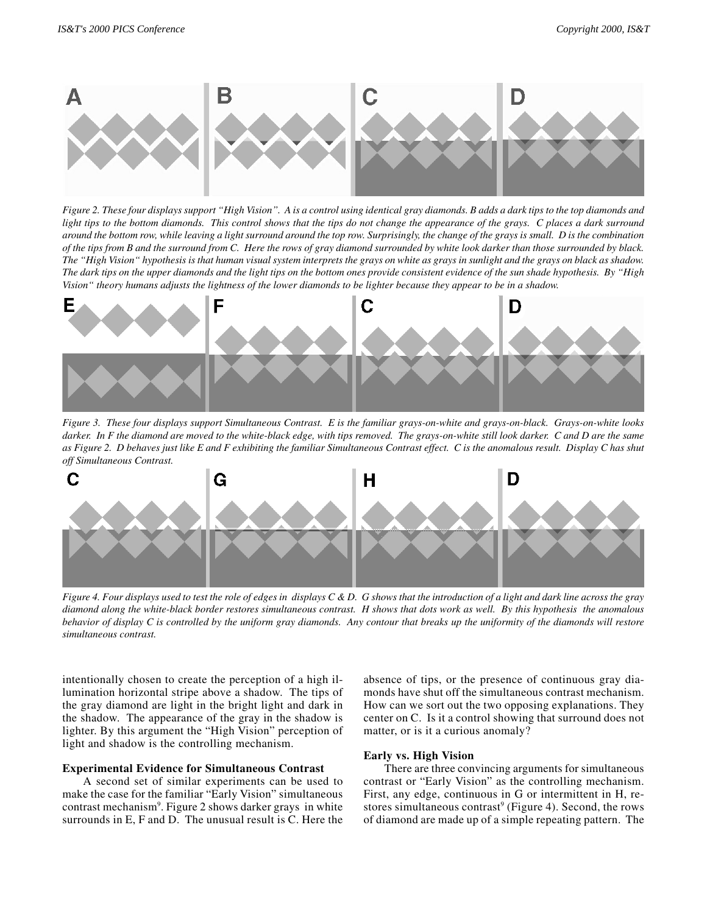

*Figure 2. These four displays support "High Vision". A is a control using identical gray diamonds. B adds a dark tips to the top diamonds and light tips to the bottom diamonds. This control shows that the tips do not change the appearance of the grays. C places a dark surround around the bottom row, while leaving a light surround around the top row. Surprisingly, the change of the grays is small. D is the combination of the tips from B and the surround from C. Here the rows of gray diamond surrounded by white look darker than those surrounded by black. The "High Vision" hypothesis is that human visual system interprets the grays on white as grays in sunlight and the grays on black as shadow. The dark tips on the upper diamonds and the light tips on the bottom ones provide consistent evidence of the sun shade hypothesis. By "High Vision" theory humans adjusts the lightness of the lower diamonds to be lighter because they appear to be in a shadow.*



*Figure 3. These four displays support Simultaneous Contrast. E is the familiar grays-on-white and grays-on-black. Grays-on-white looks darker. In F the diamond are moved to the white-black edge, with tips removed. The grays-on-white still look darker. C and D are the same as Figure 2. D behaves just like E and F exhibiting the familiar Simultaneous Contrast effect. C is the anomalous result. Display C has shut off Simultaneous Contrast.*



*Figure 4. Four displays used to test the role of edges in displays C & D. G shows that the introduction of a light and dark line across the gray diamond along the white-black border restores simultaneous contrast. H shows that dots work as well. By this hypothesis the anomalous behavior of display C is controlled by the uniform gray diamonds. Any contour that breaks up the uniformity of the diamonds will restore simultaneous contrast.*

intentionally chosen to create the perception of a high illumination horizontal stripe above a shadow. The tips of the gray diamond are light in the bright light and dark in the shadow. The appearance of the gray in the shadow is lighter. By this argument the "High Vision" perception of light and shadow is the controlling mechanism.

#### **Experimental Evidence for Simultaneous Contrast**

A second set of similar experiments can be used to make the case for the familiar "Early Vision" simultaneous contrast mechanism<sup>9</sup>. Figure 2 shows darker grays in white surrounds in E, F and D. The unusual result is C. Here the absence of tips, or the presence of continuous gray diamonds have shut off the simultaneous contrast mechanism. How can we sort out the two opposing explanations. They center on C. Is it a control showing that surround does not matter, or is it a curious anomaly?

### **Early vs. High Vision**

There are three convincing arguments for simultaneous contrast or "Early Vision" as the controlling mechanism. First, any edge, continuous in G or intermittent in H, restores simultaneous contrast<sup>9</sup> (Figure 4). Second, the rows of diamond are made up of a simple repeating pattern. The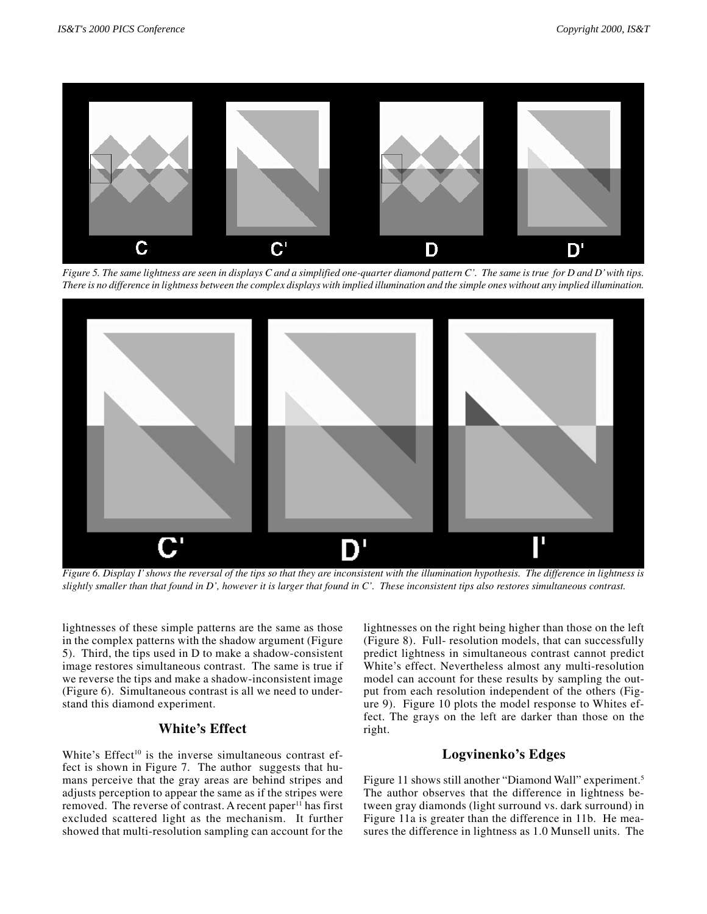

*Figure 5. The same lightness are seen in displays C and a simplified one-quarter diamond pattern C'. The same is true for D and D' with tips. There is no difference in lightness between the complex displays with implied illumination and the simple ones without any implied illumination.*



*Figure 6. Display I' shows the reversal of the tips so that they are inconsistent with the illumination hypothesis. The difference in lightness is slightly smaller than that found in D', however it is larger that found in C'. These inconsistent tips also restores simultaneous contrast.*

lightnesses of these simple patterns are the same as those in the complex patterns with the shadow argument (Figure 5). Third, the tips used in D to make a shadow-consistent image restores simultaneous contrast. The same is true if we reverse the tips and make a shadow-inconsistent image (Figure 6). Simultaneous contrast is all we need to understand this diamond experiment.

# **White's Effect**

White's Effect<sup>10</sup> is the inverse simultaneous contrast effect is shown in Figure 7. The author suggests that humans perceive that the gray areas are behind stripes and adjusts perception to appear the same as if the stripes were removed. The reverse of contrast. A recent paper<sup>11</sup> has first excluded scattered light as the mechanism. It further showed that multi-resolution sampling can account for the

lightnesses on the right being higher than those on the left (Figure 8). Full- resolution models, that can successfully predict lightness in simultaneous contrast cannot predict White's effect. Nevertheless almost any multi-resolution model can account for these results by sampling the output from each resolution independent of the others (Figure 9). Figure 10 plots the model response to Whites effect. The grays on the left are darker than those on the right.

#### **Logvinenko's Edges**

Figure 11 shows still another "Diamond Wall" experiment.<sup>5</sup> The author observes that the difference in lightness between gray diamonds (light surround vs. dark surround) in Figure 11a is greater than the difference in 11b. He measures the difference in lightness as 1.0 Munsell units. The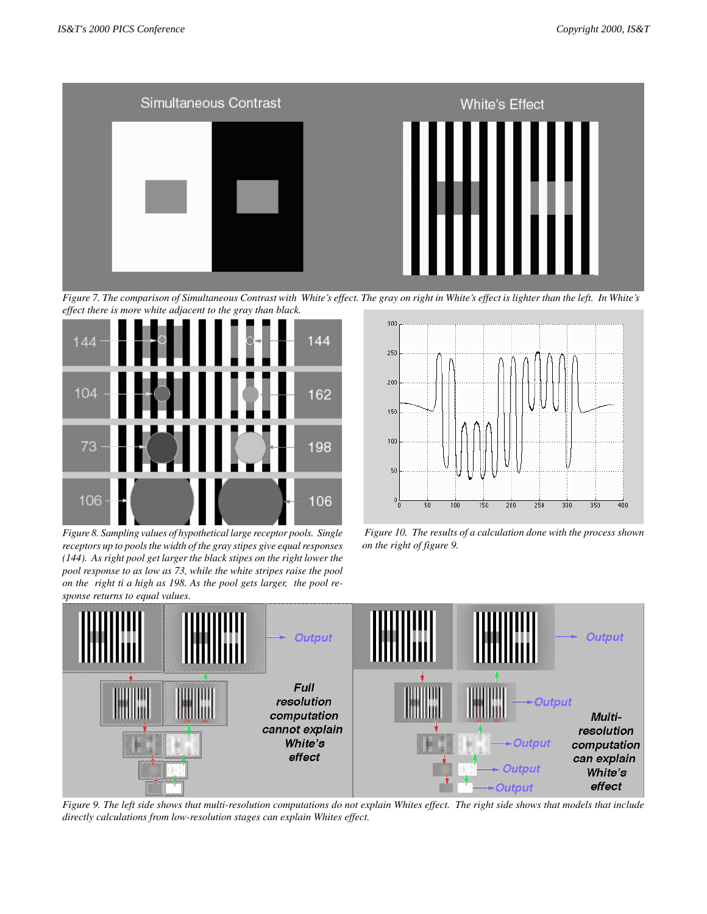

*Figure 7. The comparison of Simultaneous Contrast with White's effect. The gray on right in White's effect is lighter than the left. In White's effect there is more white adjacent to the gray than black.*



*Figure 8. Sampling values of hypothetical large receptor pools. Single receptors up to pools the width of the gray stipes give equal responses (144). As right pool get larger the black stipes on the right lower the pool response to as low as 73, while the white stripes raise the pool on the right ti a high as 198. As the pool gets larger, the pool response returns to equal values.*



 *Figure 10. The results of a calculation done with the process shown on the right of figure 9.*



*Figure 9. The left side shows that multi-resolution computations do not explain Whites effect. The right side shows that models that include directly calculations from low-resolution stages can explain Whites effect.*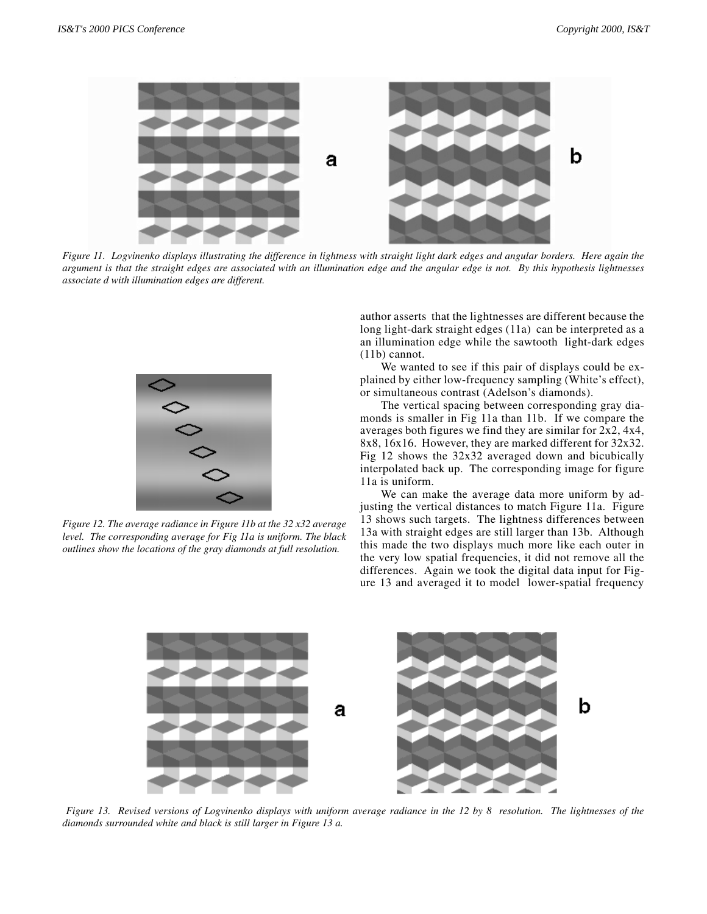

*Figure 11. Logvinenko displays illustrating the difference in lightness with straight light dark edges and angular borders. Here again the argument is that the straight edges are associated with an illumination edge and the angular edge is not. By this hypothesis lightnesses associate d with illumination edges are different.*



*Figure 12. The average radiance in Figure 11b at the 32 x32 average level. The corresponding average for Fig 11a is uniform. The black outlines show the locations of the gray diamonds at full resolution.*

author asserts that the lightnesses are different because the long light-dark straight edges (11a) can be interpreted as a an illumination edge while the sawtooth light-dark edges (11b) cannot.

We wanted to see if this pair of displays could be explained by either low-frequency sampling (White's effect), or simultaneous contrast (Adelson's diamonds).

The vertical spacing between corresponding gray diamonds is smaller in Fig 11a than 11b. If we compare the averages both figures we find they are similar for 2x2, 4x4, 8x8, 16x16. However, they are marked different for 32x32. Fig 12 shows the 32x32 averaged down and bicubically interpolated back up. The corresponding image for figure 11a is uniform.

We can make the average data more uniform by adjusting the vertical distances to match Figure 11a. Figure 13 shows such targets. The lightness differences between 13a with straight edges are still larger than 13b. Although this made the two displays much more like each outer in the very low spatial frequencies, it did not remove all the differences. Again we took the digital data input for Figure 13 and averaged it to model lower-spatial frequency



 *Figure 13. Revised versions of Logvinenko displays with uniform average radiance in the 12 by 8 resolution. The lightnesses of the diamonds surrounded white and black is still larger in Figure 13 a.*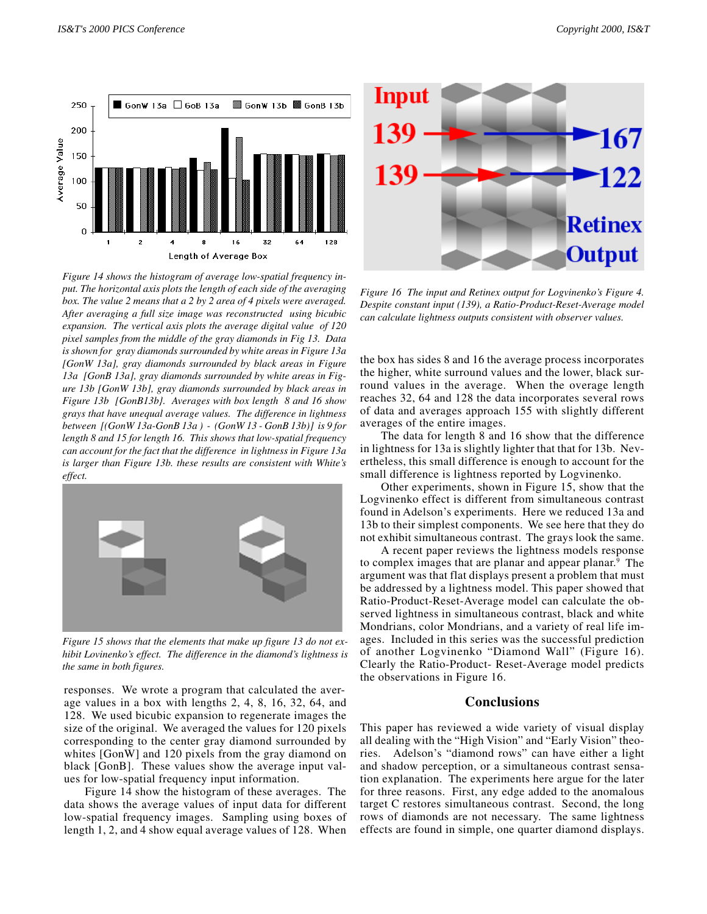

*Figure 14 shows the histogram of average low-spatial frequency input. The horizontal axis plots the length of each side of the averaging box. The value 2 means that a 2 by 2 area of 4 pixels were averaged. After averaging a full size image was reconstructed using bicubic expansion. The vertical axis plots the average digital value of 120 pixel samples from the middle of the gray diamonds in Fig 13. Data is shown for gray diamonds surrounded by white areas in Figure 13a [GonW 13a], gray diamonds surrounded by black areas in Figure 13a [GonB 13a], gray diamonds surrounded by white areas in Figure 13b [GonW 13b], gray diamonds surrounded by black areas in Figure 13b [GonB13b}. Averages with box length 8 and 16 show grays that have unequal average values. The difference in lightness between [(GonW 13a-GonB 13a ) - (GonW 13 - GonB 13b)] is 9 for length 8 and 15 for length 16. This shows that low-spatial frequency can account for the fact that the difference in lightness in Figure 13a is larger than Figure 13b. these results are consistent with White's effect.*



*Figure 15 shows that the elements that make up figure 13 do not exhibit Lovinenko's effect. The difference in the diamond's lightness is the same in both figures.*

responses. We wrote a program that calculated the average values in a box with lengths 2, 4, 8, 16, 32, 64, and 128. We used bicubic expansion to regenerate images the size of the original. We averaged the values for 120 pixels corresponding to the center gray diamond surrounded by whites [GonW] and 120 pixels from the gray diamond on black [GonB]. These values show the average input values for low-spatial frequency input information.

Figure 14 show the histogram of these averages. The data shows the average values of input data for different low-spatial frequency images. Sampling using boxes of length 1, 2, and 4 show equal average values of 128. When



*Figure 16 The input and Retinex output for Logvinenko's Figure 4. Despite constant input (139), a Ratio-Product-Reset-Average model can calculate lightness outputs consistent with observer values.*

the box has sides 8 and 16 the average process incorporates the higher, white surround values and the lower, black surround values in the average. When the overage length reaches 32, 64 and 128 the data incorporates several rows of data and averages approach 155 with slightly different averages of the entire images.

The data for length 8 and 16 show that the difference in lightness for 13a is slightly lighter that that for 13b. Nevertheless, this small difference is enough to account for the small difference is lightness reported by Logvinenko.

Other experiments, shown in Figure 15, show that the Logvinenko effect is different from simultaneous contrast found in Adelson's experiments. Here we reduced 13a and 13b to their simplest components. We see here that they do not exhibit simultaneous contrast. The grays look the same.

A recent paper reviews the lightness models response to complex images that are planar and appear planar.<sup>9</sup> The argument was that flat displays present a problem that must be addressed by a lightness model. This paper showed that Ratio-Product-Reset-Average model can calculate the observed lightness in simultaneous contrast, black and white Mondrians, color Mondrians, and a variety of real life images. Included in this series was the successful prediction of another Logvinenko "Diamond Wall" (Figure 16). Clearly the Ratio-Product- Reset-Average model predicts the observations in Figure 16.

### **Conclusions**

This paper has reviewed a wide variety of visual display all dealing with the "High Vision" and "Early Vision" theories. Adelson's "diamond rows" can have either a light and shadow perception, or a simultaneous contrast sensation explanation. The experiments here argue for the later for three reasons. First, any edge added to the anomalous target C restores simultaneous contrast. Second, the long rows of diamonds are not necessary. The same lightness effects are found in simple, one quarter diamond displays.